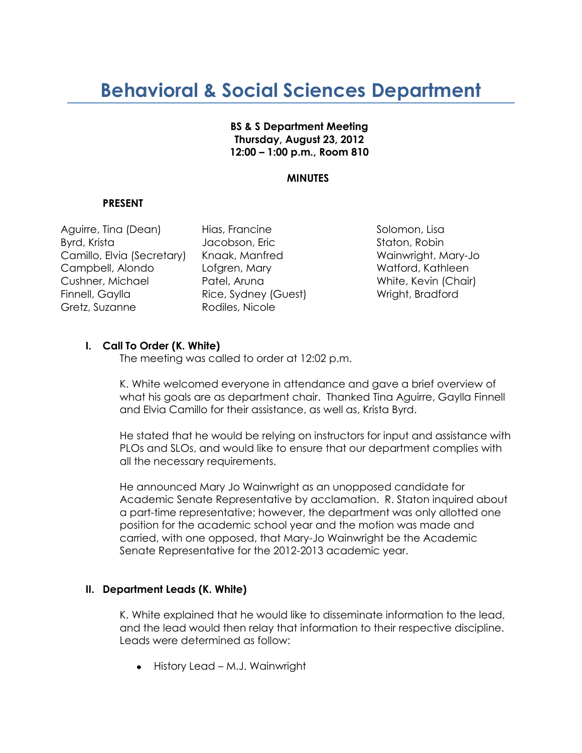# **Behavioral & Social Sciences Department**

## **BS & S Department Meeting Thursday, August 23, 2012 12:00 – 1:00 p.m., Room 810**

# **MINUTES**

# **PRESENT**

Aguirre, Tina (Dean) Hias, Francine New Solomon, Lisa Byrd, Krista Jacobson, Eric Staton, Robin Camillo, Elvia (Secretary) Knaak, Manfred Wainwright, Mary-Jo Campbell, Alondo Lofgren, Mary Campbell, Alondo Lofgren, Mary Campbell, Kathleen Cushner, Michael Patel, Aruna White, Kevin (Chair) Finnell, Gaylla Rice, Sydney (Guest) Wright, Bradford Gretz, Suzanne Rodiles, Nicole

# **I. Call To Order (K. White)**

The meeting was called to order at 12:02 p.m.

K. White welcomed everyone in attendance and gave a brief overview of what his goals are as department chair. Thanked Tina Aguirre, Gaylla Finnell and Elvia Camillo for their assistance, as well as, Krista Byrd.

He stated that he would be relying on instructors for input and assistance with PLOs and SLOs, and would like to ensure that our department complies with all the necessary requirements.

He announced Mary Jo Wainwright as an unopposed candidate for Academic Senate Representative by acclamation. R. Staton inquired about a part-time representative; however, the department was only allotted one position for the academic school year and the motion was made and carried, with one opposed, that Mary-Jo Wainwright be the Academic Senate Representative for the 2012-2013 academic year.

## **II. Department Leads (K. White)**

K. White explained that he would like to disseminate information to the lead, and the lead would then relay that information to their respective discipline. Leads were determined as follow:

• History Lead – M.J. Wainwright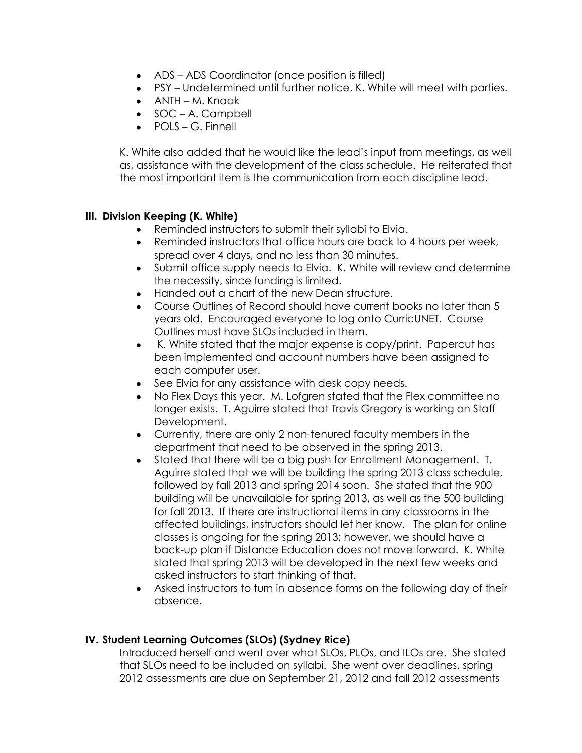- ADS ADS Coordinator (once position is filled)
- PSY Undetermined until further notice, K. White will meet with parties.
- ANTH M. Knaak
- SOC A. Campbell
- POLS G. Finnell

K. White also added that he would like the lead's input from meetings, as well as, assistance with the development of the class schedule. He reiterated that the most important item is the communication from each discipline lead.

# **III. Division Keeping (K. White)**

- Reminded instructors to submit their syllabi to Elvia.
- $\bullet$ Reminded instructors that office hours are back to 4 hours per week, spread over 4 days, and no less than 30 minutes.
- Submit office supply needs to Elvia. K. White will review and determine the necessity, since funding is limited.
- Handed out a chart of the new Dean structure.
- Course Outlines of Record should have current books no later than 5 years old. Encouraged everyone to log onto CurricUNET. Course Outlines must have SLOs included in them.
- K. White stated that the major expense is copy/print. Papercut has been implemented and account numbers have been assigned to each computer user.
- See Elvia for any assistance with desk copy needs.
- $\bullet$ No Flex Days this year. M. Lofgren stated that the Flex committee no longer exists. T. Aguirre stated that Travis Gregory is working on Staff Development.
- Currently, there are only 2 non-tenured faculty members in the department that need to be observed in the spring 2013.
- Stated that there will be a big push for Enrollment Management. T.  $\bullet$ Aguirre stated that we will be building the spring 2013 class schedule, followed by fall 2013 and spring 2014 soon. She stated that the 900 building will be unavailable for spring 2013, as well as the 500 building for fall 2013. If there are instructional items in any classrooms in the affected buildings, instructors should let her know. The plan for online classes is ongoing for the spring 2013; however, we should have a back-up plan if Distance Education does not move forward. K. White stated that spring 2013 will be developed in the next few weeks and asked instructors to start thinking of that.
- Asked instructors to turn in absence forms on the following day of their absence.

# **IV. Student Learning Outcomes (SLOs) (Sydney Rice)**

Introduced herself and went over what SLOs, PLOs, and ILOs are. She stated that SLOs need to be included on syllabi. She went over deadlines, spring 2012 assessments are due on September 21, 2012 and fall 2012 assessments